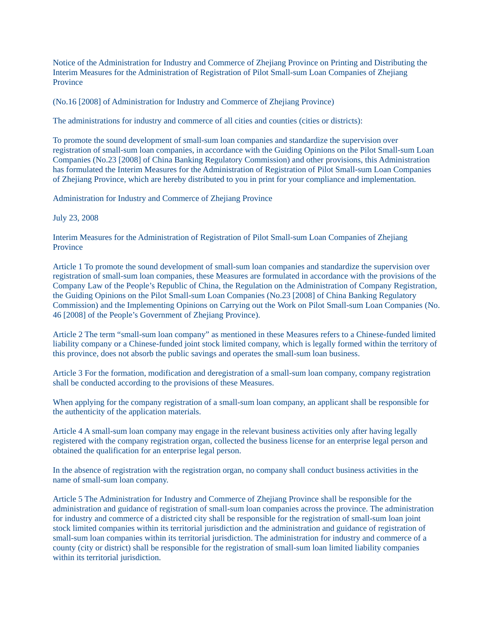Notice of the Administration for Industry and Commerce of Zhejiang Province on Printing and Distributing the Interim Measures for the Administration of Registration of Pilot Small-sum Loan Companies of Zhejiang Province

(No.16 [2008] of Administration for Industry and Commerce of Zhejiang Province)

The administrations for industry and commerce of all cities and counties (cities or districts):

To promote the sound development of small-sum loan companies and standardize the supervision over registration of small-sum loan companies, in accordance with the Guiding Opinions on the Pilot Small-sum Loan Companies (No.23 [2008] of China Banking Regulatory Commission) and other provisions, this Administration has formulated the Interim Measures for the Administration of Registration of Pilot Small-sum Loan Companies of Zhejiang Province, which are hereby distributed to you in print for your compliance and implementation.

Administration for Industry and Commerce of Zhejiang Province

July 23, 2008

Interim Measures for the Administration of Registration of Pilot Small-sum Loan Companies of Zhejiang Province

Article 1 To promote the sound development of small-sum loan companies and standardize the supervision over registration of small-sum loan companies, these Measures are formulated in accordance with the provisions of the Company Law of the People's Republic of China, the Regulation on the Administration of Company Registration, the Guiding Opinions on the Pilot Small-sum Loan Companies (No.23 [2008] of China Banking Regulatory Commission) and the Implementing Opinions on Carrying out the Work on Pilot Small-sum Loan Companies (No. 46 [2008] of the People's Government of Zhejiang Province).

Article 2 The term "small-sum loan company" as mentioned in these Measures refers to a Chinese-funded limited liability company or a Chinese-funded joint stock limited company, which is legally formed within the territory of this province, does not absorb the public savings and operates the small-sum loan business.

Article 3 For the formation, modification and deregistration of a small-sum loan company, company registration shall be conducted according to the provisions of these Measures.

When applying for the company registration of a small-sum loan company, an applicant shall be responsible for the authenticity of the application materials.

Article 4 A small-sum loan company may engage in the relevant business activities only after having legally registered with the company registration organ, collected the business license for an enterprise legal person and obtained the qualification for an enterprise legal person.

In the absence of registration with the registration organ, no company shall conduct business activities in the name of small-sum loan company.

Article 5 The Administration for Industry and Commerce of Zhejiang Province shall be responsible for the administration and guidance of registration of small-sum loan companies across the province. The administration for industry and commerce of a districted city shall be responsible for the registration of small-sum loan joint stock limited companies within its territorial jurisdiction and the administration and guidance of registration of small-sum loan companies within its territorial jurisdiction. The administration for industry and commerce of a county (city or district) shall be responsible for the registration of small-sum loan limited liability companies within its territorial jurisdiction.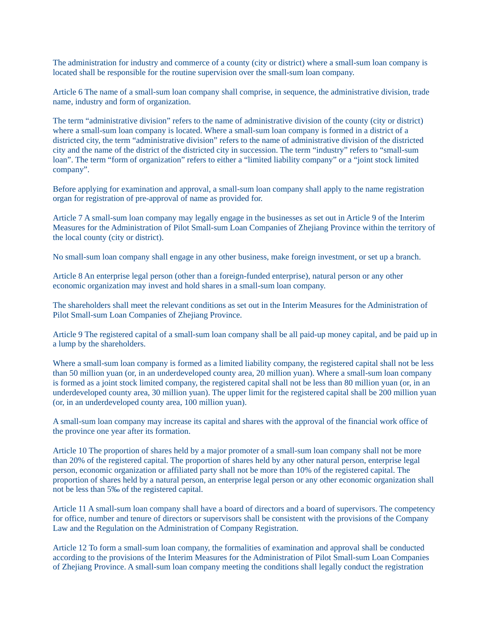The administration for industry and commerce of a county (city or district) where a small-sum loan company is located shall be responsible for the routine supervision over the small-sum loan company.

Article 6 The name of a small-sum loan company shall comprise, in sequence, the administrative division, trade name, industry and form of organization.

The term "administrative division" refers to the name of administrative division of the county (city or district) where a small-sum loan company is located. Where a small-sum loan company is formed in a district of a districted city, the term "administrative division" refers to the name of administrative division of the districted city and the name of the district of the districted city in succession. The term "industry" refers to "small-sum loan". The term "form of organization" refers to either a "limited liability company" or a "joint stock limited company".

Before applying for examination and approval, a small-sum loan company shall apply to the name registration organ for registration of pre-approval of name as provided for.

Article 7 A small-sum loan company may legally engage in the businesses as set out in Article 9 of the Interim Measures for the Administration of Pilot Small-sum Loan Companies of Zhejiang Province within the territory of the local county (city or district).

No small-sum loan company shall engage in any other business, make foreign investment, or set up a branch.

Article 8 An enterprise legal person (other than a foreign-funded enterprise), natural person or any other economic organization may invest and hold shares in a small-sum loan company.

The shareholders shall meet the relevant conditions as set out in the Interim Measures for the Administration of Pilot Small-sum Loan Companies of Zhejiang Province.

Article 9 The registered capital of a small-sum loan company shall be all paid-up money capital, and be paid up in a lump by the shareholders.

Where a small-sum loan company is formed as a limited liability company, the registered capital shall not be less than 50 million yuan (or, in an underdeveloped county area, 20 million yuan). Where a small-sum loan company is formed as a joint stock limited company, the registered capital shall not be less than 80 million yuan (or, in an underdeveloped county area, 30 million yuan). The upper limit for the registered capital shall be 200 million yuan (or, in an underdeveloped county area, 100 million yuan).

A small-sum loan company may increase its capital and shares with the approval of the financial work office of the province one year after its formation.

Article 10 The proportion of shares held by a major promoter of a small-sum loan company shall not be more than 20% of the registered capital. The proportion of shares held by any other natural person, enterprise legal person, economic organization or affiliated party shall not be more than 10% of the registered capital. The proportion of shares held by a natural person, an enterprise legal person or any other economic organization shall not be less than 5‰ of the registered capital.

Article 11 A small-sum loan company shall have a board of directors and a board of supervisors. The competency for office, number and tenure of directors or supervisors shall be consistent with the provisions of the Company Law and the Regulation on the Administration of Company Registration.

Article 12 To form a small-sum loan company, the formalities of examination and approval shall be conducted according to the provisions of the Interim Measures for the Administration of Pilot Small-sum Loan Companies of Zhejiang Province. A small-sum loan company meeting the conditions shall legally conduct the registration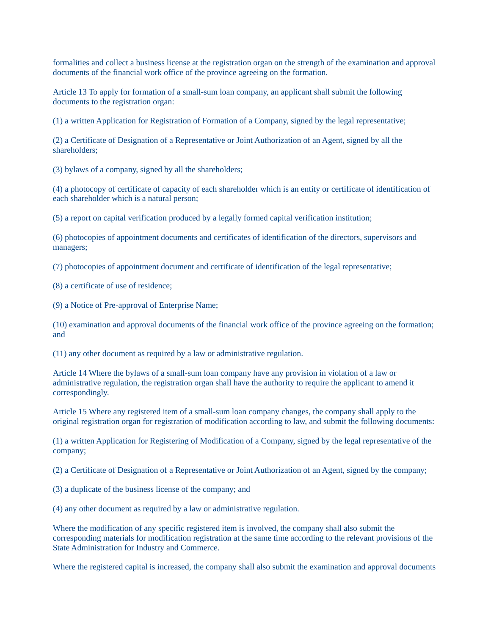formalities and collect a business license at the registration organ on the strength of the examination and approval documents of the financial work office of the province agreeing on the formation.

Article 13 To apply for formation of a small-sum loan company, an applicant shall submit the following documents to the registration organ:

(1) a written Application for Registration of Formation of a Company, signed by the legal representative;

(2) a Certificate of Designation of a Representative or Joint Authorization of an Agent, signed by all the shareholders;

(3) bylaws of a company, signed by all the shareholders;

(4) a photocopy of certificate of capacity of each shareholder which is an entity or certificate of identification of each shareholder which is a natural person;

(5) a report on capital verification produced by a legally formed capital verification institution;

(6) photocopies of appointment documents and certificates of identification of the directors, supervisors and managers;

(7) photocopies of appointment document and certificate of identification of the legal representative;

(8) a certificate of use of residence;

(9) a Notice of Pre-approval of Enterprise Name;

(10) examination and approval documents of the financial work office of the province agreeing on the formation; and

(11) any other document as required by a law or administrative regulation.

Article 14 Where the bylaws of a small-sum loan company have any provision in violation of a law or administrative regulation, the registration organ shall have the authority to require the applicant to amend it correspondingly.

Article 15 Where any registered item of a small-sum loan company changes, the company shall apply to the original registration organ for registration of modification according to law, and submit the following documents:

(1) a written Application for Registering of Modification of a Company, signed by the legal representative of the company;

(2) a Certificate of Designation of a Representative or Joint Authorization of an Agent, signed by the company;

(3) a duplicate of the business license of the company; and

(4) any other document as required by a law or administrative regulation.

Where the modification of any specific registered item is involved, the company shall also submit the corresponding materials for modification registration at the same time according to the relevant provisions of the State Administration for Industry and Commerce.

Where the registered capital is increased, the company shall also submit the examination and approval documents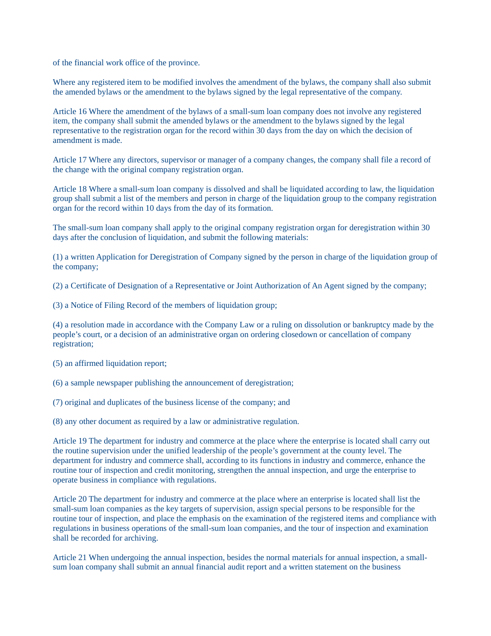of the financial work office of the province.

Where any registered item to be modified involves the amendment of the bylaws, the company shall also submit the amended bylaws or the amendment to the bylaws signed by the legal representative of the company.

Article 16 Where the amendment of the bylaws of a small-sum loan company does not involve any registered item, the company shall submit the amended bylaws or the amendment to the bylaws signed by the legal representative to the registration organ for the record within 30 days from the day on which the decision of amendment is made.

Article 17 Where any directors, supervisor or manager of a company changes, the company shall file a record of the change with the original company registration organ.

Article 18 Where a small-sum loan company is dissolved and shall be liquidated according to law, the liquidation group shall submit a list of the members and person in charge of the liquidation group to the company registration organ for the record within 10 days from the day of its formation.

The small-sum loan company shall apply to the original company registration organ for deregistration within 30 days after the conclusion of liquidation, and submit the following materials:

(1) a written Application for Deregistration of Company signed by the person in charge of the liquidation group of the company;

(2) a Certificate of Designation of a Representative or Joint Authorization of An Agent signed by the company;

(3) a Notice of Filing Record of the members of liquidation group;

(4) a resolution made in accordance with the Company Law or a ruling on dissolution or bankruptcy made by the people's court, or a decision of an administrative organ on ordering closedown or cancellation of company registration;

(5) an affirmed liquidation report;

(6) a sample newspaper publishing the announcement of deregistration;

(7) original and duplicates of the business license of the company; and

(8) any other document as required by a law or administrative regulation.

Article 19 The department for industry and commerce at the place where the enterprise is located shall carry out the routine supervision under the unified leadership of the people's government at the county level. The department for industry and commerce shall, according to its functions in industry and commerce, enhance the routine tour of inspection and credit monitoring, strengthen the annual inspection, and urge the enterprise to operate business in compliance with regulations.

Article 20 The department for industry and commerce at the place where an enterprise is located shall list the small-sum loan companies as the key targets of supervision, assign special persons to be responsible for the routine tour of inspection, and place the emphasis on the examination of the registered items and compliance with regulations in business operations of the small-sum loan companies, and the tour of inspection and examination shall be recorded for archiving.

Article 21 When undergoing the annual inspection, besides the normal materials for annual inspection, a smallsum loan company shall submit an annual financial audit report and a written statement on the business